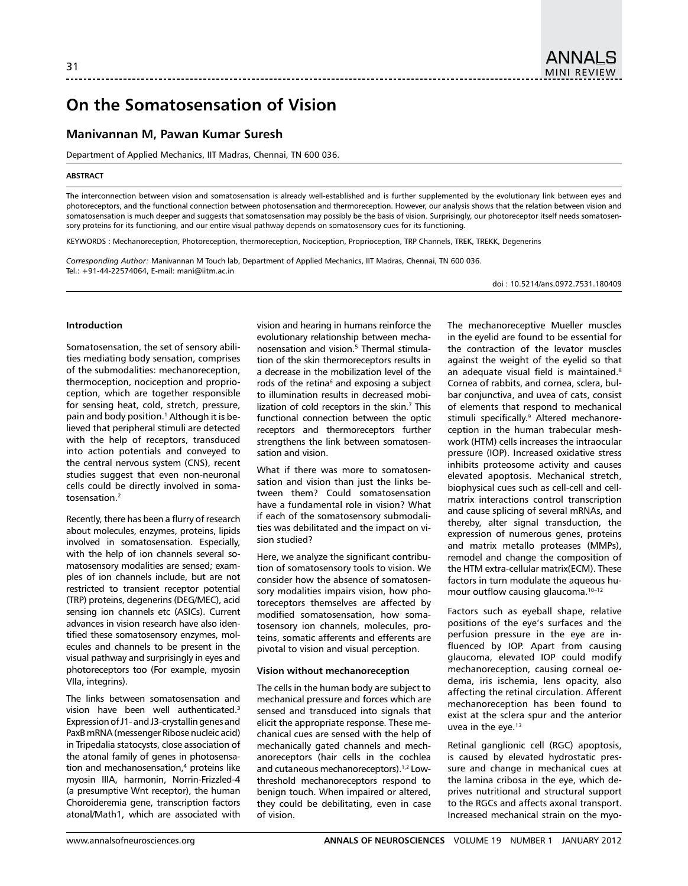# **On the Somatosensation of Vision**

## **Manivannan M, Pawan Kumar Suresh**

Department of Applied Mechanics, IIT Madras, Chennai, TN 600 036.

#### **Abstract**

The interconnection between vision and somatosensation is already well-established and is further supplemented by the evolutionary link between eyes and photoreceptors, and the functional connection between photosensation and thermoreception. However, our analysis shows that the relation between vision and somatosensation is much deeper and suggests that somatosensation may possibly be the basis of vision. Surprisingly, our photoreceptor itself needs somatosensory proteins for its functioning, and our entire visual pathway depends on somatosensory cues for its functioning*.*

Keywords : Mechanoreception, Photoreception, thermoreception, Nociception, Proprioception, TRP Channels, TREK, TREKK, Degenerins

*Corresponding Author:* Manivannan M Touch lab, Department of Applied Mechanics, IIT Madras, Chennai, TN 600 036. Tel.: +91-44-22574064, E-mail: mani@iitm.ac.in

doi : 10.5214/ans.0972.7531.180409

#### **Introduction**

Somatosensation, the set of sensory abilities mediating body sensation, comprises of the submodalities: mechanoreception, thermoception, nociception and proprioception, which are together responsible for sensing heat, cold, stretch, pressure, pain and body position.1 Although it is believed that peripheral stimuli are detected with the help of receptors, transduced into action potentials and conveyed to the central nervous system (CNS), recent studies suggest that even non-neuronal cells could be directly involved in somatosensation<sup>2</sup>

Recently, there has been a flurry of research about molecules, enzymes, proteins, lipids involved in somatosensation. Especially, with the help of ion channels several somatosensory modalities are sensed; examples of ion channels include, but are not restricted to transient receptor potential (TRP) proteins, degenerins (DEG/MEC), acid sensing ion channels etc (ASICs). Current advances in vision research have also identified these somatosensory enzymes, molecules and channels to be present in the visual pathway and surprisingly in eyes and photoreceptors too (For example, myosin VIIa, integrins).

The links between somatosensation and vision have been well authenticated.**<sup>3</sup>** Expression of J1- and J3-crystallin genes and PaxB mRNA (messenger Ribose nucleic acid) in Tripedalia statocysts, close association of the atonal family of genes in photosensation and mechanosensation,**4** proteins like myosin IIIA, harmonin, Norrin-Frizzled-4 (a presumptive Wnt receptor), the human Choroideremia gene, transcription factors atonal/Math1, which are associated with

vision and hearing in humans reinforce the evolutionary relationship between mechanosensation and vision.5 Thermal stimulation of the skin thermoreceptors results in a decrease in the mobilization level of the rods of the retina<sup>6</sup> and exposing a subject to illumination results in decreased mobilization of cold receptors in the skin.<sup>7</sup> This functional connection between the optic receptors and thermoreceptors further strengthens the link between somatosensation and vision.

What if there was more to somatosensation and vision than just the links between them? Could somatosensation have a fundamental role in vision? What if each of the somatosensory submodalities was debilitated and the impact on vision studied?

Here, we analyze the significant contribution of somatosensory tools to vision. We consider how the absence of somatosensory modalities impairs vision, how photoreceptors themselves are affected by modified somatosensation, how somatosensory ion channels, molecules, proteins, somatic afferents and efferents are pivotal to vision and visual perception.

## **Vision without mechanoreception**

The cells in the human body are subject to mechanical pressure and forces which are sensed and transduced into signals that elicit the appropriate response. These mechanical cues are sensed with the help of mechanically gated channels and mechanoreceptors (hair cells in the cochlea and cutaneous mechanoreceptors).1,2 Lowthreshold mechanoreceptors respond to benign touch. When impaired or altered, they could be debilitating, even in case of vision.

The mechanoreceptive Mueller muscles in the eyelid are found to be essential for the contraction of the levator muscles against the weight of the eyelid so that an adequate visual field is maintained.<sup>8</sup> Cornea of rabbits, and cornea, sclera, bulbar conjunctiva, and uvea of cats, consist of elements that respond to mechanical stimuli specifically.<sup>9</sup> Altered mechanoreception in the human trabecular meshwork (HTM) cells increases the intraocular pressure (IOP). Increased oxidative stress inhibits proteosome activity and causes elevated apoptosis. Mechanical stretch, biophysical cues such as cell-cell and cellmatrix interactions control transcription and cause splicing of several mRNAs, and thereby, alter signal transduction, the expression of numerous genes, proteins and matrix metallo proteases (MMPs), remodel and change the composition of the HTM extra-cellular matrix(ECM). These factors in turn modulate the aqueous humour outflow causing glaucoma.<sup>10-12</sup>

Factors such as eyeball shape, relative positions of the eye's surfaces and the perfusion pressure in the eye are influenced by IOP. Apart from causing glaucoma, elevated IOP could modify mechanoreception, causing corneal oedema, iris ischemia, lens opacity, also affecting the retinal circulation. Afferent mechanoreception has been found to exist at the sclera spur and the anterior uvea in the eye.<sup>13</sup>

Retinal ganglionic cell (RGC) apoptosis, is caused by elevated hydrostatic pressure and change in mechanical cues at the lamina cribosa in the eye, which deprives nutritional and structural support to the RGCs and affects axonal transport. Increased mechanical strain on the myo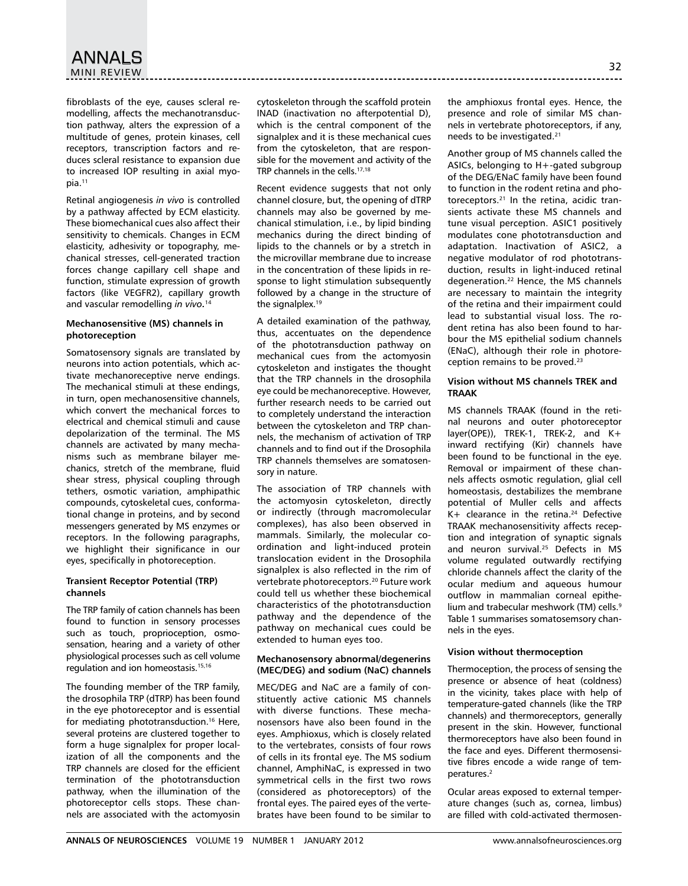fibroblasts of the eye, causes scleral remodelling, affects the mechanotransduction pathway, alters the expression of a multitude of genes, protein kinases, cell receptors, transcription factors and reduces scleral resistance to expansion due to increased IOP resulting in axial myopia.11

Retinal angiogenesis *in vivo* is controlled by a pathway affected by ECM elasticity. These biomechanical cues also affect their sensitivity to chemicals. Changes in ECM elasticity, adhesivity or topography, mechanical stresses, cell-generated traction forces change capillary cell shape and function, stimulate expression of growth factors (like VEGFR2), capillary growth and vascular remodelling *in vivo.* 14

## **Mechanosensitive (MS) channels in photoreception**

Somatosensory signals are translated by neurons into action potentials, which activate mechanoreceptive nerve endings. The mechanical stimuli at these endings, in turn, open mechanosensitive channels, which convert the mechanical forces to electrical and chemical stimuli and cause depolarization of the terminal. The MS channels are activated by many mechanisms such as membrane bilayer mechanics, stretch of the membrane, fluid shear stress, physical coupling through tethers, osmotic variation, amphipathic compounds, cytoskeletal cues, conformational change in proteins, and by second messengers generated by MS enzymes or receptors. In the following paragraphs, we highlight their significance in our eyes, specifically in photoreception.

## **Transient Receptor Potential (TRP) channels**

The TRP family of cation channels has been found to function in sensory processes such as touch, proprioception, osmosensation, hearing and a variety of other physiological processes such as cell volume regulation and ion homeostasis.15,16

The founding member of the TRP family, the drosophila TRP (dTRP) has been found in the eye photoreceptor and is essential for mediating phototransduction.<sup>16</sup> Here, several proteins are clustered together to form a huge signalplex for proper localization of all the components and the TRP channels are closed for the efficient termination of the phototransduction pathway, when the illumination of the photoreceptor cells stops. These channels are associated with the actomyosin cytoskeleton through the scaffold protein INAD (inactivation no afterpotential D), which is the central component of the signalplex and it is these mechanical cues from the cytoskeleton, that are responsible for the movement and activity of the TRP channels in the cells.17,18

Recent evidence suggests that not only channel closure, but, the opening of dTRP channels may also be governed by mechanical stimulation, i.e., by lipid binding mechanics during the direct binding of lipids to the channels or by a stretch in the microvillar membrane due to increase in the concentration of these lipids in response to light stimulation subsequently followed by a change in the structure of the signalplex.<sup>19</sup>

A detailed examination of the pathway, thus, accentuates on the dependence of the phototransduction pathway on mechanical cues from the actomyosin cytoskeleton and instigates the thought that the TRP channels in the drosophila eye could be mechanoreceptive. However, further research needs to be carried out to completely understand the interaction between the cytoskeleton and TRP channels, the mechanism of activation of TRP channels and to find out if the Drosophila TRP channels themselves are somatosensory in nature.

The association of TRP channels with the actomyosin cytoskeleton, directly or indirectly (through macromolecular complexes), has also been observed in mammals. Similarly, the molecular coordination and light-induced protein translocation evident in the Drosophila signalplex is also reflected in the rim of vertebrate photoreceptors.20 Future work could tell us whether these biochemical characteristics of the phototransduction pathway and the dependence of the pathway on mechanical cues could be extended to human eyes too.

## **Mechanosensory abnormal/degenerins (MEC/DEG) and sodium (NaC) channels**

MEC/DEG and NaC are a family of constituently active cationic MS channels with diverse functions. These mechanosensors have also been found in the eyes. Amphioxus, which is closely related to the vertebrates, consists of four rows of cells in its frontal eye. The MS sodium channel, AmphiNaC, is expressed in two symmetrical cells in the first two rows (considered as photoreceptors) of the frontal eyes. The paired eyes of the vertebrates have been found to be similar to

the amphioxus frontal eyes. Hence, the presence and role of similar MS channels in vertebrate photoreceptors, if any, needs to be investigated.<sup>21</sup>

Another group of MS channels called the ASICs, belonging to H+-gated subgroup of the DEG/ENaC family have been found to function in the rodent retina and photoreceptors.<sup>21</sup> In the retina, acidic transients activate these MS channels and tune visual perception. ASIC1 positively modulates cone phototransduction and adaptation. Inactivation of ASIC2, a negative modulator of rod phototransduction, results in light-induced retinal degeneration.22 Hence, the MS channels are necessary to maintain the integrity of the retina and their impairment could lead to substantial visual loss. The rodent retina has also been found to harbour the MS epithelial sodium channels (ENaC), although their role in photoreception remains to be proved.23

## **Vision without MS channels TREK and TRAAK**

MS channels TRAAK (found in the retinal neurons and outer photoreceptor layer(OPE)), TREK-1, TREK-2, and K+ inward rectifying (Kir) channels have been found to be functional in the eye. Removal or impairment of these channels affects osmotic regulation, glial cell homeostasis, destabilizes the membrane potential of Muller cells and affects  $K+$  clearance in the retina.<sup>24</sup> Defective TRAAK mechanosensitivity affects reception and integration of synaptic signals and neuron survival.25 Defects in MS volume regulated outwardly rectifying chloride channels affect the clarity of the ocular medium and aqueous humour outflow in mammalian corneal epithelium and trabecular meshwork (TM) cells.<sup>9</sup> Table 1 summarises somatosemsory channels in the eyes.

## **Vision without thermoception**

Thermoception, the process of sensing the presence or absence of heat (coldness) in the vicinity, takes place with help of temperature-gated channels (like the TRP channels) and thermoreceptors, generally present in the skin. However, functional thermoreceptors have also been found in the face and eyes. Different thermosensitive fibres encode a wide range of temperatures.2

Ocular areas exposed to external temperature changes (such as, cornea, limbus) are filled with cold-activated thermosen-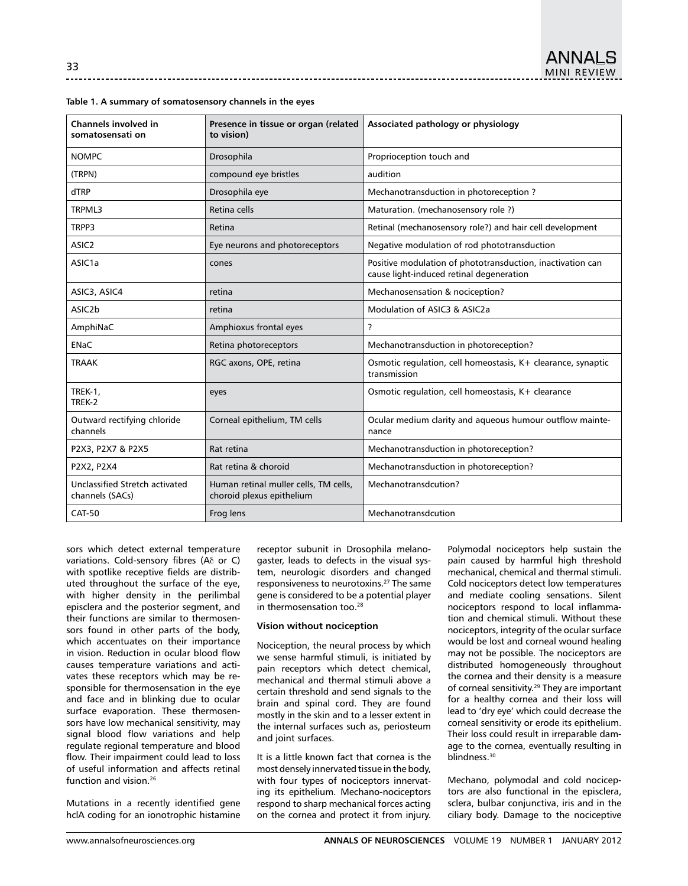| Channels involved in<br>somatosensati on          | Presence in tissue or organ (related<br>to vision)                 | Associated pathology or physiology                                                                     |  |  |
|---------------------------------------------------|--------------------------------------------------------------------|--------------------------------------------------------------------------------------------------------|--|--|
| <b>NOMPC</b>                                      | Drosophila                                                         | Proprioception touch and                                                                               |  |  |
| (TRPN)                                            | compound eye bristles                                              | audition                                                                                               |  |  |
| dTRP                                              | Drosophila eye                                                     | Mechanotransduction in photoreception?                                                                 |  |  |
| TRPML3                                            | Retina cells                                                       | Maturation. (mechanosensory role?)                                                                     |  |  |
| TRPP3                                             | Retina                                                             | Retinal (mechanosensory role?) and hair cell development                                               |  |  |
| ASIC <sub>2</sub>                                 | Eye neurons and photoreceptors                                     | Negative modulation of rod phototransduction                                                           |  |  |
| ASIC <sub>1</sub> a                               | cones                                                              | Positive modulation of phototransduction, inactivation can<br>cause light-induced retinal degeneration |  |  |
| ASIC3, ASIC4                                      | retina                                                             | Mechanosensation & nociception?                                                                        |  |  |
| ASIC <sub>2</sub> b                               | retina                                                             | Modulation of ASIC3 & ASIC2a                                                                           |  |  |
| AmphiNaC                                          | Amphioxus frontal eyes                                             | ?                                                                                                      |  |  |
| <b>ENaC</b>                                       | Retina photoreceptors                                              | Mechanotransduction in photoreception?                                                                 |  |  |
| <b>TRAAK</b>                                      | RGC axons, OPE, retina                                             | Osmotic regulation, cell homeostasis, K+ clearance, synaptic<br>transmission                           |  |  |
| TREK-1,<br>TREK-2                                 | eyes                                                               | Osmotic regulation, cell homeostasis, K+ clearance                                                     |  |  |
| Outward rectifying chloride<br>channels           | Corneal epithelium, TM cells                                       | Ocular medium clarity and aqueous humour outflow mainte-<br>nance                                      |  |  |
| P2X3, P2X7 & P2X5                                 | Rat retina                                                         | Mechanotransduction in photoreception?                                                                 |  |  |
| P2X2, P2X4                                        | Rat retina & choroid                                               | Mechanotransduction in photoreception?                                                                 |  |  |
| Unclassified Stretch activated<br>channels (SACs) | Human retinal muller cells, TM cells,<br>choroid plexus epithelium | Mechanotransdcution?                                                                                   |  |  |
| <b>CAT-50</b>                                     | Frog lens                                                          | Mechanotransdcution                                                                                    |  |  |

|  |  |  |  |  |  |  |  | Table 1. A summary of somatosensory channels in the eyes |  |  |  |  |  |  |  |
|--|--|--|--|--|--|--|--|----------------------------------------------------------|--|--|--|--|--|--|--|
|--|--|--|--|--|--|--|--|----------------------------------------------------------|--|--|--|--|--|--|--|

sors which detect external temperature variations. Cold-sensory fibres (Aδ or C) with spotlike receptive fields are distributed throughout the surface of the eye, with higher density in the perilimbal episclera and the posterior segment, and their functions are similar to thermosensors found in other parts of the body, which accentuates on their importance in vision. Reduction in ocular blood flow causes temperature variations and activates these receptors which may be responsible for thermosensation in the eye and face and in blinking due to ocular surface evaporation. These thermosensors have low mechanical sensitivity, may signal blood flow variations and help regulate regional temperature and blood flow. Their impairment could lead to loss of useful information and affects retinal function and vision.26

Mutations in a recently identified gene hclA coding for an ionotrophic histamine receptor subunit in Drosophila melanogaster, leads to defects in the visual system, neurologic disorders and changed responsiveness to neurotoxins.27 The same gene is considered to be a potential player in thermosensation too.<sup>28</sup>

## **Vision without nociception**

Nociception, the neural process by which we sense harmful stimuli, is initiated by pain receptors which detect chemical, mechanical and thermal stimuli above a certain threshold and send signals to the brain and spinal cord. They are found mostly in the skin and to a lesser extent in the internal surfaces such as, periosteum and joint surfaces.

It is a little known fact that cornea is the most densely innervated tissue in the body, with four types of nociceptors innervating its epithelium. Mechano-nociceptors respond to sharp mechanical forces acting on the cornea and protect it from injury.

Polymodal nociceptors help sustain the pain caused by harmful high threshold mechanical, chemical and thermal stimuli. Cold nociceptors detect low temperatures and mediate cooling sensations. Silent nociceptors respond to local inflammation and chemical stimuli. Without these nociceptors, integrity of the ocular surface would be lost and corneal wound healing may not be possible. The nociceptors are distributed homogeneously throughout the cornea and their density is a measure of corneal sensitivity.<sup>29</sup> They are important for a healthy cornea and their loss will lead to 'dry eye' which could decrease the corneal sensitivity or erode its epithelium. Their loss could result in irreparable damage to the cornea, eventually resulting in blindness.30

Mechano, polymodal and cold nociceptors are also functional in the episclera, sclera, bulbar conjunctiva, iris and in the ciliary body. Damage to the nociceptive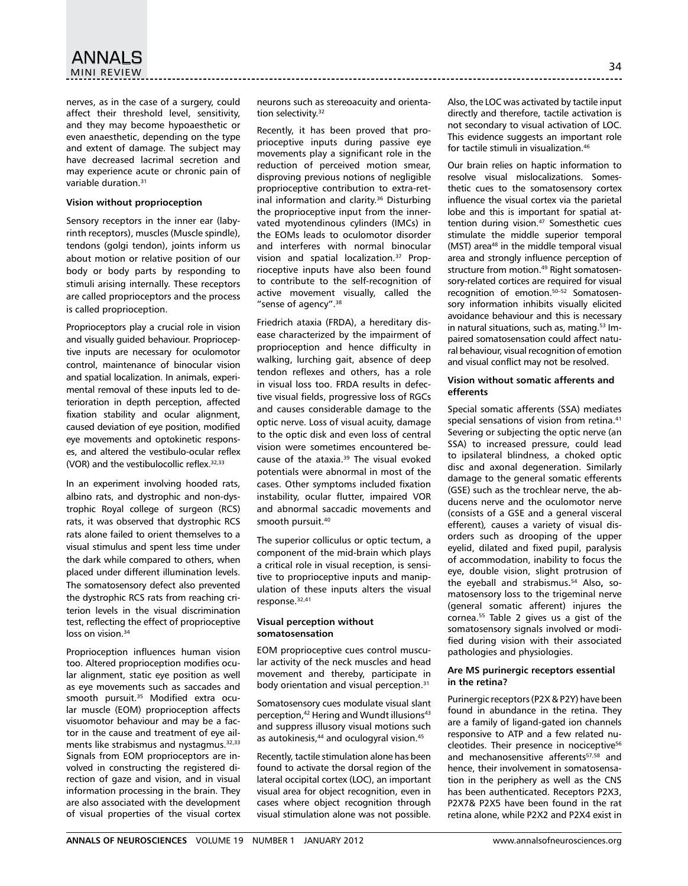nerves, as in the case of a surgery, could affect their threshold level, sensitivity, and they may become hypoaesthetic or even anaesthetic, depending on the type and extent of damage. The subject may have decreased lacrimal secretion and may experience acute or chronic pain of variable duration.31

### **Vision without proprioception**

Sensory receptors in the inner ear (labyrinth receptors), muscles (Muscle spindle), tendons (golgi tendon), joints inform us about motion or relative position of our body or body parts by responding to stimuli arising internally. These receptors are called proprioceptors and the process is called proprioception.

Proprioceptors play a crucial role in vision and visually guided behaviour. Proprioceptive inputs are necessary for oculomotor control, maintenance of binocular vision and spatial localization. In animals, experimental removal of these inputs led to deterioration in depth perception, affected fixation stability and ocular alignment, caused deviation of eye position, modified eye movements and optokinetic responses, and altered the vestibulo-ocular reflex (VOR) and the vestibulocollic reflex. 32,33

In an experiment involving hooded rats, albino rats, and dystrophic and non-dystrophic Royal college of surgeon (RCS) rats, it was observed that dystrophic RCS rats alone failed to orient themselves to a visual stimulus and spent less time under the dark while compared to others, when placed under different illumination levels. The somatosensory defect also prevented the dystrophic RCS rats from reaching criterion levels in the visual discrimination test, reflecting the effect of proprioceptive loss on vision.<sup>34</sup>

Proprioception influences human vision too. Altered proprioception modifies ocular alignment, static eye position as well as eye movements such as saccades and smooth pursuit.<sup>35</sup> Modified extra ocular muscle (EOM) proprioception affects visuomotor behaviour and may be a factor in the cause and treatment of eye ailments like strabismus and nystagmus.<sup>32,33</sup> Signals from EOM proprioceptors are involved in constructing the registered direction of gaze and vision, and in visual information processing in the brain. They are also associated with the development of visual properties of the visual cortex neurons such as stereoacuity and orientation selectivity.<sup>32</sup>

Recently, it has been proved that proprioceptive inputs during passive eye movements play a significant role in the reduction of perceived motion smear, disproving previous notions of negligible proprioceptive contribution to extra-retinal information and clarity.<sup>36</sup> Disturbing the proprioceptive input from the innervated myotendinous cylinders (IMCs) in the EOMs leads to oculomotor disorder and interferes with normal binocular vision and spatial localization.<sup>37</sup> Proprioceptive inputs have also been found to contribute to the self-recognition of active movement visually, called the "sense of agency".<sup>38</sup>

Friedrich ataxia (FRDA), a hereditary disease characterized by the impairment of proprioception and hence difficulty in walking, lurching gait, absence of deep tendon reflexes and others, has a role in visual loss too. FRDA results in defective visual fields, progressive loss of RGCs and causes considerable damage to the optic nerve. Loss of visual acuity, damage to the optic disk and even loss of central vision were sometimes encountered because of the ataxia.39 The visual evoked potentials were abnormal in most of the cases. Other symptoms included fixation instability, ocular flutter, impaired VOR and abnormal saccadic movements and smooth pursuit.<sup>40</sup>

The superior colliculus or optic tectum, a component of the mid-brain which plays a critical role in visual reception, is sensitive to proprioceptive inputs and manipulation of these inputs alters the visual response.32,41

## **Visual perception without somatosensation**

EOM proprioceptive cues control muscular activity of the neck muscles and head movement and thereby, participate in body orientation and visual perception.<sup>31</sup>

Somatosensory cues modulate visual slant perception,<sup>42</sup> Hering and Wundt illusions<sup>43</sup> and suppress illusory visual motions such as autokinesis,<sup>44</sup> and oculogyral vision.<sup>45</sup>

Recently, tactile stimulation alone has been found to activate the dorsal region of the lateral occipital cortex (LOC), an important visual area for object recognition, even in cases where object recognition through visual stimulation alone was not possible.

Also, the LOC was activated by tactile input directly and therefore, tactile activation is not secondary to visual activation of LOC. This evidence suggests an important role for tactile stimuli in visualization.<sup>46</sup>

Our brain relies on haptic information to resolve visual mislocalizations. Somesthetic cues to the somatosensory cortex influence the visual cortex via the parietal lobe and this is important for spatial attention during vision.<sup>47</sup> Somesthetic cues stimulate the middle superior temporal  $(MST)$  area<sup>48</sup> in the middle temporal visual area and strongly influence perception of structure from motion.<sup>49</sup> Right somatosensory-related cortices are required for visual recognition of emotion.50–52 Somatosensory information inhibits visually elicited avoidance behaviour and this is necessary in natural situations, such as, mating.<sup>53</sup> Impaired somatosensation could affect natural behaviour, visual recognition of emotion and visual conflict may not be resolved.

## **Vision without somatic afferents and efferents**

Special somatic afferents (SSA) mediates special sensations of vision from retina.<sup>41</sup> Severing or subjecting the optic nerve (an SSA) to increased pressure, could lead to ipsilateral blindness, a choked optic disc and axonal degeneration. Similarly damage to the general somatic efferents (GSE) such as the trochlear nerve, the abducens nerve and the oculomotor nerve (consists of a GSE and a general visceral efferent)*,* causes a variety of visual disorders such as drooping of the upper eyelid, dilated and fixed pupil, paralysis of accommodation, inability to focus the eye, double vision, slight protrusion of the eyeball and strabismus**.** <sup>54</sup> Also**,** somatosensory loss to the trigeminal nerve (general somatic afferent) injures the cornea.55 Table 2 gives us a gist of the somatosensory signals involved or modified during vision with their associated pathologies and physiologies.

## **Are MS purinergic receptors essential in the retina?**

Purinergic receptors (P2X & P2Y) have been found in abundance in the retina. They are a family of ligand-gated ion channels responsive to ATP and a few related nucleotides. Their presence in nociceptive<sup>56</sup> and mechanosensitive afferents<sup>57,58</sup> and hence, their involvement in somatosensation in the periphery as well as the CNS has been authenticated. Receptors P2X3, P2X7& P2X5 have been found in the rat retina alone, while P2X2 and P2X4 exist in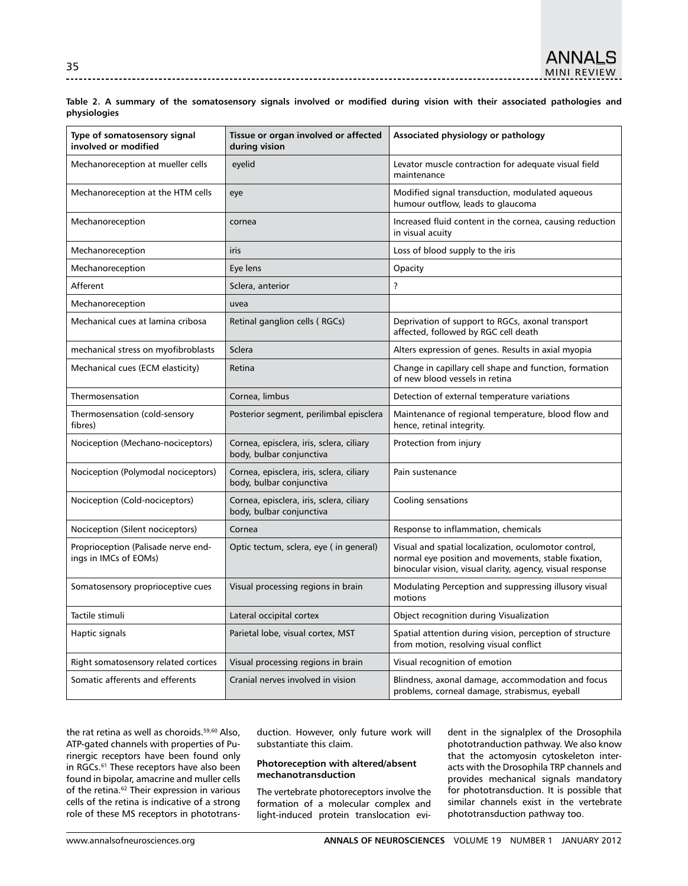**Table 2. A summary of the somatosensory signals involved or modified during vision with their associated pathologies and physiologies**

| Type of somatosensory signal<br>involved or modified         | Tissue or organ involved or affected<br>during vision                | Associated physiology or pathology                                                                                                                                       |  |  |
|--------------------------------------------------------------|----------------------------------------------------------------------|--------------------------------------------------------------------------------------------------------------------------------------------------------------------------|--|--|
| Mechanoreception at mueller cells                            | eyelid                                                               | Levator muscle contraction for adequate visual field<br>maintenance                                                                                                      |  |  |
| Mechanoreception at the HTM cells                            | eye                                                                  | Modified signal transduction, modulated aqueous<br>humour outflow, leads to glaucoma                                                                                     |  |  |
| Mechanoreception                                             | cornea                                                               | Increased fluid content in the cornea, causing reduction<br>in visual acuity                                                                                             |  |  |
| Mechanoreception                                             | iris                                                                 | Loss of blood supply to the iris                                                                                                                                         |  |  |
| Mechanoreception                                             | Eye lens                                                             | Opacity                                                                                                                                                                  |  |  |
| Afferent                                                     | Sclera, anterior                                                     | $\overline{\phantom{a}}$                                                                                                                                                 |  |  |
| Mechanoreception                                             | uvea                                                                 |                                                                                                                                                                          |  |  |
| Mechanical cues at lamina cribosa                            | Retinal ganglion cells (RGCs)                                        | Deprivation of support to RGCs, axonal transport<br>affected, followed by RGC cell death                                                                                 |  |  |
| mechanical stress on myofibroblasts                          | Sclera                                                               | Alters expression of genes. Results in axial myopia                                                                                                                      |  |  |
| Mechanical cues (ECM elasticity)                             | Retina                                                               | Change in capillary cell shape and function, formation<br>of new blood vessels in retina                                                                                 |  |  |
| Thermosensation                                              | Cornea, limbus                                                       | Detection of external temperature variations                                                                                                                             |  |  |
| Thermosensation (cold-sensory<br>fibres)                     | Posterior segment, perilimbal episclera                              | Maintenance of regional temperature, blood flow and<br>hence, retinal integrity.                                                                                         |  |  |
| Nociception (Mechano-nociceptors)                            | Cornea, episclera, iris, sclera, ciliary<br>body, bulbar conjunctiva | Protection from injury                                                                                                                                                   |  |  |
| Nociception (Polymodal nociceptors)                          | Cornea, episclera, iris, sclera, ciliary<br>body, bulbar conjunctiva | Pain sustenance                                                                                                                                                          |  |  |
| Nociception (Cold-nociceptors)                               | Cornea, episclera, iris, sclera, ciliary<br>body, bulbar conjunctiva | Cooling sensations                                                                                                                                                       |  |  |
| Nociception (Silent nociceptors)                             | Cornea                                                               | Response to inflammation, chemicals                                                                                                                                      |  |  |
| Proprioception (Palisade nerve end-<br>ings in IMCs of EOMs) | Optic tectum, sclera, eye (in general)                               | Visual and spatial localization, oculomotor control,<br>normal eye position and movements, stable fixation,<br>binocular vision, visual clarity, agency, visual response |  |  |
| Somatosensory proprioceptive cues                            | Visual processing regions in brain                                   | Modulating Perception and suppressing illusory visual<br>motions                                                                                                         |  |  |
| Tactile stimuli                                              | Lateral occipital cortex                                             | Object recognition during Visualization                                                                                                                                  |  |  |
| Haptic signals                                               | Parietal lobe, visual cortex, MST                                    | Spatial attention during vision, perception of structure<br>from motion, resolving visual conflict                                                                       |  |  |
| Right somatosensory related cortices                         | Visual processing regions in brain                                   | Visual recognition of emotion                                                                                                                                            |  |  |
| Somatic afferents and efferents                              | Cranial nerves involved in vision                                    | Blindness, axonal damage, accommodation and focus<br>problems, corneal damage, strabismus, eyeball                                                                       |  |  |

the rat retina as well as choroids.<sup>59,60</sup> Also, ATP-gated channels with properties of Purinergic receptors have been found only in RGCs.<sup>61</sup> These receptors have also been found in bipolar, amacrine and muller cells of the retina.<sup>62</sup> Their expression in various cells of the retina is indicative of a strong role of these MS receptors in phototransduction. However, only future work will substantiate this claim.

## **Photoreception with altered/absent mechanotransduction**

The vertebrate photoreceptors involve the formation of a molecular complex and light-induced protein translocation evident in the signalplex of the Drosophila phototranduction pathway. We also know that the actomyosin cytoskeleton interacts with the Drosophila TRP channels and provides mechanical signals mandatory for phototransduction. It is possible that similar channels exist in the vertebrate phototransduction pathway too.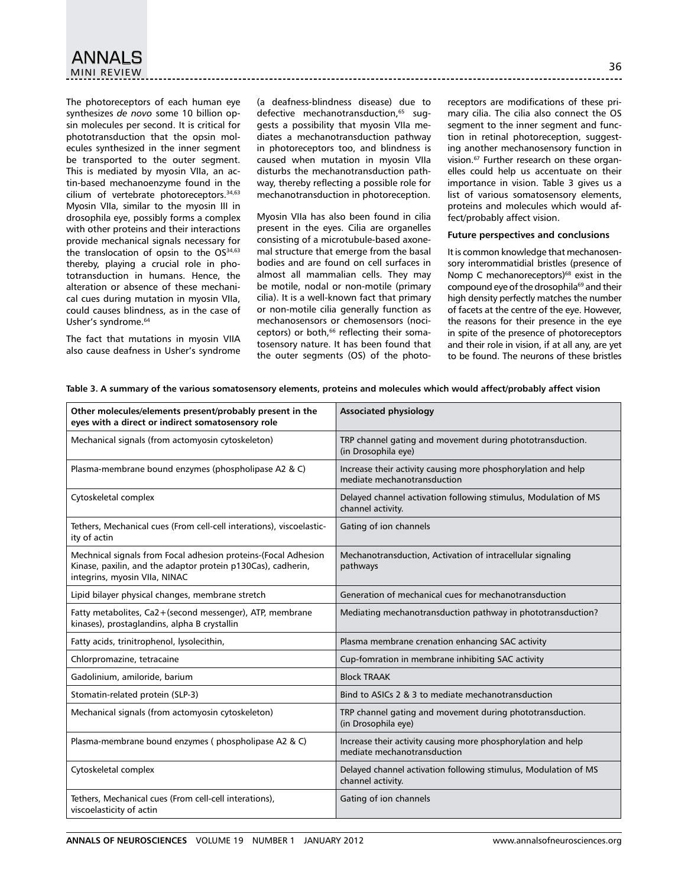The photoreceptors of each human eye synthesizes *de novo* some 10 billion opsin molecules per second. It is critical for phototransduction that the opsin molecules synthesized in the inner segment be transported to the outer segment. This is mediated by myosin VIIa, an actin-based mechanoenzyme found in the cilium of vertebrate photoreceptors.<sup>34,63</sup> Myosin VIIa, similar to the myosin III in drosophila eye, possibly forms a complex with other proteins and their interactions provide mechanical signals necessary for the translocation of opsin to the OS<sup>34,63</sup> thereby, playing a crucial role in phototransduction in humans. Hence, the alteration or absence of these mechanical cues during mutation in myosin VIIa, could causes blindness, as in the case of Usher's syndrome.<sup>64</sup>

The fact that mutations in myosin VIIA also cause deafness in Usher's syndrome (a deafness-blindness disease) due to defective mechanotransduction.<sup>65</sup> suggests a possibility that myosin VIIa mediates a mechanotransduction pathway in photoreceptors too, and blindness is caused when mutation in myosin VIIa disturbs the mechanotransduction pathway, thereby reflecting a possible role for mechanotransduction in photoreception.

Myosin VIIa has also been found in cilia present in the eyes. Cilia are organelles consisting of a microtubule-based axonemal structure that emerge from the basal bodies and are found on cell surfaces in almost all mammalian cells. They may be motile, nodal or non-motile (primary cilia). It is a well-known fact that primary or non-motile cilia generally function as mechanosensors or chemosensors (nociceptors) or both,<sup>66</sup> reflecting their somatosensory nature. It has been found that the outer segments (OS) of the photoreceptors are modifications of these primary cilia. The cilia also connect the OS segment to the inner segment and function in retinal photoreception, suggesting another mechanosensory function in vision.67 Further research on these organelles could help us accentuate on their importance in vision. Table 3 gives us a list of various somatosensory elements, proteins and molecules which would affect/probably affect vision.

## **Future perspectives and conclusions**

It is common knowledge that mechanosensory interommatidial bristles (presence of Nomp C mechanoreceptors) $68$  exist in the compound eye of the drosophila<sup>69</sup> and their high density perfectly matches the number of facets at the centre of the eye. However, the reasons for their presence in the eye in spite of the presence of photoreceptors and their role in vision, if at all any, are yet to be found. The neurons of these bristles

| Other molecules/elements present/probably present in the<br>eyes with a direct or indirect somatosensory role                                                   | <b>Associated physiology</b>                                                                 |
|-----------------------------------------------------------------------------------------------------------------------------------------------------------------|----------------------------------------------------------------------------------------------|
| Mechanical signals (from actomyosin cytoskeleton)                                                                                                               | TRP channel gating and movement during phototransduction.<br>(in Drosophila eye)             |
| Plasma-membrane bound enzymes (phospholipase A2 & C)                                                                                                            | Increase their activity causing more phosphorylation and help<br>mediate mechanotransduction |
| Cytoskeletal complex                                                                                                                                            | Delayed channel activation following stimulus, Modulation of MS<br>channel activity.         |
| Tethers, Mechanical cues (From cell-cell interations), viscoelastic-<br>ity of actin                                                                            | Gating of ion channels                                                                       |
| Mechnical signals from Focal adhesion proteins-(Focal Adhesion<br>Kinase, paxilin, and the adaptor protein p130Cas), cadherin,<br>integrins, myosin VIIa, NINAC | Mechanotransduction, Activation of intracellular signaling<br>pathways                       |
| Lipid bilayer physical changes, membrane stretch                                                                                                                | Generation of mechanical cues for mechanotransduction                                        |
| Fatty metabolites, Ca2+(second messenger), ATP, membrane<br>kinases), prostaglandins, alpha B crystallin                                                        | Mediating mechanotransduction pathway in phototransduction?                                  |
| Fatty acids, trinitrophenol, lysolecithin,                                                                                                                      | Plasma membrane crenation enhancing SAC activity                                             |
| Chlorpromazine, tetracaine                                                                                                                                      | Cup-fomration in membrane inhibiting SAC activity                                            |
| Gadolinium, amiloride, barium                                                                                                                                   | <b>Block TRAAK</b>                                                                           |
| Stomatin-related protein (SLP-3)                                                                                                                                | Bind to ASICs 2 & 3 to mediate mechanotransduction                                           |
| Mechanical signals (from actomyosin cytoskeleton)                                                                                                               | TRP channel gating and movement during phototransduction.<br>(in Drosophila eye)             |
| Plasma-membrane bound enzymes (phospholipase A2 & C)                                                                                                            | Increase their activity causing more phosphorylation and help<br>mediate mechanotransduction |
| Cytoskeletal complex                                                                                                                                            | Delayed channel activation following stimulus, Modulation of MS<br>channel activity.         |
| Tethers, Mechanical cues (From cell-cell interations),<br>viscoelasticity of actin                                                                              | Gating of ion channels                                                                       |

**Table 3. A summary of the various somatosensory elements, proteins and molecules which would affect/probably affect vision**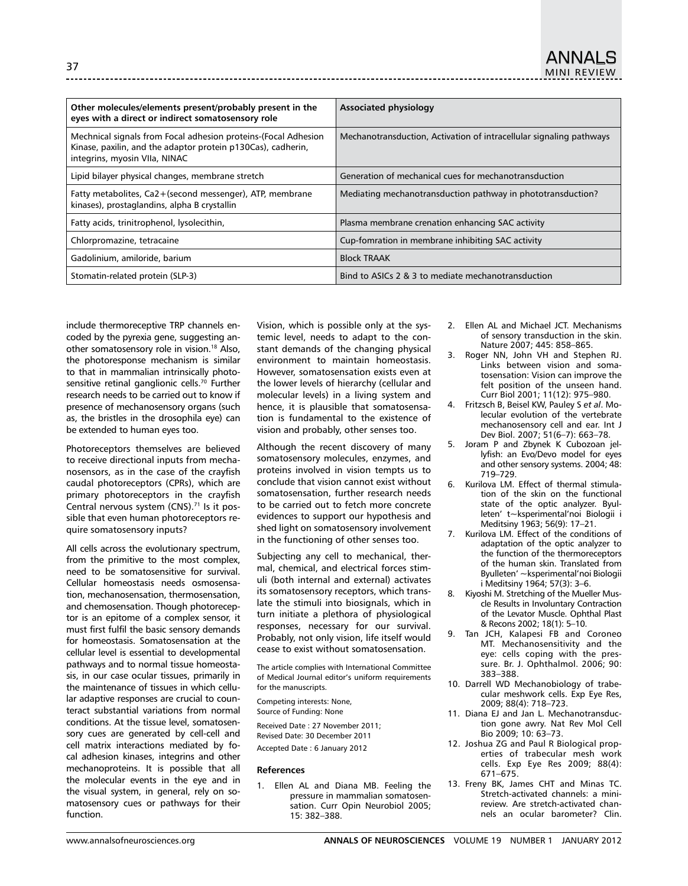| Other molecules/elements present/probably present in the<br>eyes with a direct or indirect somatosensory role                                                   | Associated physiology                                               |
|-----------------------------------------------------------------------------------------------------------------------------------------------------------------|---------------------------------------------------------------------|
| Mechnical signals from Focal adhesion proteins-(Focal Adhesion<br>Kinase, paxilin, and the adaptor protein p130Cas), cadherin,<br>integrins, myosin VIIa, NINAC | Mechanotransduction, Activation of intracellular signaling pathways |
| Lipid bilayer physical changes, membrane stretch                                                                                                                | Generation of mechanical cues for mechanotransduction               |
| Fatty metabolites, Ca2+(second messenger), ATP, membrane<br>kinases), prostaglandins, alpha B crystallin                                                        | Mediating mechanotransduction pathway in phototransduction?         |
| Fatty acids, trinitrophenol, lysolecithin,                                                                                                                      | Plasma membrane crenation enhancing SAC activity                    |
| Chlorpromazine, tetracaine                                                                                                                                      | Cup-fomration in membrane inhibiting SAC activity                   |
| Gadolinium, amiloride, barium                                                                                                                                   | <b>Block TRAAK</b>                                                  |
| Stomatin-related protein (SLP-3)                                                                                                                                | Bind to ASICs 2 & 3 to mediate mechanotransduction                  |

include thermoreceptive TRP channels encoded by the pyrexia gene, suggesting another somatosensory role in vision.<sup>18</sup> Also, the photoresponse mechanism is similar to that in mammalian intrinsically photosensitive retinal ganglionic cells.<sup>70</sup> Further research needs to be carried out to know if presence of mechanosensory organs (such as, the bristles in the drosophila eye) can be extended to human eyes too.

Photoreceptors themselves are believed to receive directional inputs from mechanosensors, as in the case of the crayfish caudal photoreceptors (CPRs), which are primary photoreceptors in the crayfish Central nervous system (CNS).<sup>71</sup> Is it possible that even human photoreceptors require somatosensory inputs?

All cells across the evolutionary spectrum, from the primitive to the most complex, need to be somatosensitive for survival. Cellular homeostasis needs osmosensation, mechanosensation, thermosensation, and chemosensation. Though photoreceptor is an epitome of a complex sensor, it must first fulfil the basic sensory demands for homeostasis. Somatosensation at the cellular level is essential to developmental pathways and to normal tissue homeostasis, in our case ocular tissues, primarily in the maintenance of tissues in which cellular adaptive responses are crucial to counteract substantial variations from normal conditions. At the tissue level, somatosensory cues are generated by cell-cell and cell matrix interactions mediated by focal adhesion kinases, integrins and other mechanoproteins. It is possible that all the molecular events in the eye and in the visual system, in general, rely on somatosensory cues or pathways for their function.

Vision, which is possible only at the systemic level, needs to adapt to the constant demands of the changing physical environment to maintain homeostasis. However, somatosensation exists even at the lower levels of hierarchy (cellular and molecular levels) in a living system and hence, it is plausible that somatosensation is fundamental to the existence of vision and probably, other senses too.

Although the recent discovery of many somatosensory molecules, enzymes, and proteins involved in vision tempts us to conclude that vision cannot exist without somatosensation, further research needs to be carried out to fetch more concrete evidences to support our hypothesis and shed light on somatosensory involvement in the functioning of other senses too.

Subjecting any cell to mechanical, thermal, chemical, and electrical forces stimuli (both internal and external) activates its somatosensory receptors, which translate the stimuli into biosignals, which in turn initiate a plethora of physiological responses, necessary for our survival. Probably, not only vision, life itself would cease to exist without somatosensation.

The article complies with International Committee of Medical Journal editor's uniform requirements for the manuscripts.

Competing interests: None, Source of Funding: None

Received Date : 27 November 2011; Revised Date: 30 December 2011 Accepted Date : 6 January 2012

## **References**

1. Ellen AL and Diana MB. Feeling the pressure in mammalian somatosensation. Curr Opin Neurobiol 2005; 15: 382–388.

- 2. Ellen AL and Michael JCT. Mechanisms of sensory transduction in the skin. Nature 2007; 445: 858–865.
- 3. Roger NN, John VH and Stephen RJ. Links between vision and somatosensation: Vision can improve the felt position of the unseen hand. Curr Biol 2001; 11(12): 975–980.
- 4. Fritzsch B, Beisel KW, Pauley S *et al*. Molecular evolution of the vertebrate mechanosensory cell and ear. Int J Dev Biol. 2007; 51(6–7): 663–78.
- 5. Joram P and Zbynek K Cubozoan jellyfish: an Evo/Devo model for eyes and other sensory systems. 2004; 48: 719–729.
- 6. Kurilova LM. Effect of thermal stimulation of the skin on the functional state of the optic analyzer. Byulleten' t~ksperimental'noi Biologii i Meditsiny 1963; 56(9): 17–21.
- 7. Kurilova LM. Effect of the conditions of adaptation of the optic analyzer to the function of the thermoreceptors of the human skin. Translated from Byulleten' ~ksperimental'noi Biologii i Meditsiny 1964; 57(3): 3–6.
- 8. Kiyoshi M. Stretching of the Mueller Muscle Results in Involuntary Contraction of the Levator Muscle. Ophthal Plast & Recons 2002; 18(1): 5–10.
- 9. Tan JCH, Kalapesi FB and Coroneo MT. Mechanosensitivity and the eye: cells coping with the pressure. Br. J. Ophthalmol. 2006; 90: 383–388.
- 10. Darrell WD Mechanobiology of trabecular meshwork cells. Exp Eye Res, 2009; 88(4): 718–723.
- 11. Diana EJ and Jan L. Mechanotransduction gone awry. Nat Rev Mol Cell Bio 2009; 10: 63–73.
- 12. Joshua ZG and Paul R Biological properties of trabecular mesh work cells. Exp Eye Res 2009; 88(4): 671–675.
- 13. Freny BK, James CHT and Minas TC. Stretch-activated channels: a minireview. Are stretch-activated channels an ocular barometer? Clin.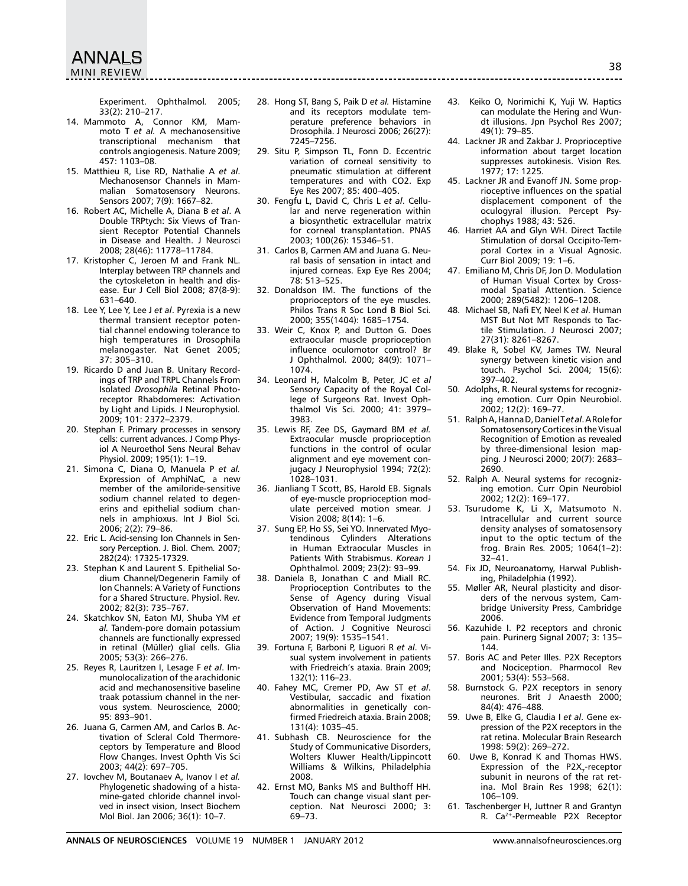ANNALS<br>MINI REVIEW MINI REVIEW

Experiment. Ophthalmol*.* 2005; 33(2): 210–217.

- 14. Mammoto A, Connor KM, Mammoto T *et al.* A mechanosensitive transcriptional mechanism that controls angiogenesis. Nature 2009; 457: 1103–08.
- 15. Matthieu R, Lise RD, Nathalie A *et al*. Mechanosensor Channels in Mammalian Somatosensory Neurons. Sensors 2007; 7(9): 1667–82.
- 16. Robert AC, Michelle A, Diana B *et al*. A Double TRPtych: Six Views of Transient Receptor Potential Channels in Disease and Health. J Neurosci 2008; 28(46): 11778–11784.
- 17. Kristopher C, Jeroen M and Frank NL. Interplay between TRP channels and the cytoskeleton in health and disease. Eur J Cell Biol 2008; 87(8-9): 631–640.
- 18. Lee Y, Lee Y, Lee J *et al*. Pyrexia is a new thermal transient receptor potential channel endowing tolerance to high temperatures in Drosophila melanogaster. Nat Genet 2005; 37: 305–310.
- 19. Ricardo D and Juan B. Unitary Recordings of TRP and TRPL Channels From Isolated *Drosophila* Retinal Photoreceptor Rhabdomeres: Activation by Light and Lipids. J Neurophysiol*.*  2009; 101: 2372–2379.
- 20. Stephan F. Primary processes in sensory cells: current advances. J Comp Physiol A Neuroethol Sens Neural Behav Physiol. 2009; 195(1): 1–19.
- 21. Simona C, Diana O, Manuela P *et al.* Expression of AmphiNaC*,* a new member of the amiloride-sensitive sodium channel related to degenerins and epithelial sodium channels in amphioxus. Int J Biol Sci*.*  2006; 2(2): 79–86.
- 22. Eric L. Acid-sensing Ion Channels in Sensory Perception. J. Biol. Chem*.* 2007; 282(24): 17325-17329.
- 23. Stephan K and Laurent S. Epithelial Sodium Channel/Degenerin Family of Ion Channels: A Variety of Functions for a Shared Structure. Physiol. Rev*.*  2002; 82(3): 735–767.
- 24. Skatchkov SN, Eaton MJ, Shuba YM *et al.* Tandem-pore domain potassium channels are functionally expressed in retinal (Müller) glial cells. Glia 2005; 53(3): 266–276.
- 25. Reyes R, Lauritzen I, Lesage F *et al*. Immunolocalization of the arachidonic acid and mechanosensitive baseline traak potassium channel in the nervous system. Neuroscience*,* 2000; 95: 893–901.
- 26. Juana G, Carmen AM, and Carlos B. Activation of Scleral Cold Thermoreceptors by Temperature and Blood Flow Changes. Invest Ophth Vis Sci 2003; 44(2): 697–705.
- 27. Iovchev M, Boutanaev A, Ivanov I *et al.* Phylogenetic shadowing of a histamine-gated chloride channel involved in insect vision, Insect Biochem Mol Biol. Jan 2006; 36(1): 10–7.

28. Hong ST, Bang S, Paik D *et al.* Histamine and its receptors modulate temperature preference behaviors in Drosophila. J Neurosci 2006; 26(27): 7245–7256.

- 29. Situ P, Simpson TL, Fonn D. Eccentric variation of corneal sensitivity to pneumatic stimulation at different temperatures and with CO2. Exp Eye Res 2007; 85: 400–405.
- 30. Fengfu L, David C, Chris L *et al*. Cellular and nerve regeneration within a biosynthetic extracellular matrix for corneal transplantation. PNAS 2003; 100(26): 15346–51.
- 31. Carlos B, Carmen AM and Juana G. Neural basis of sensation in intact and injured corneas. Exp Eye Res 2004; 78: 513–525.
- 32. Donaldson IM. The functions of the proprioceptors of the eye muscles. Philos Trans R Soc Lond B Biol Sci*.*  2000; 355(1404): 1685–1754.
- 33. Weir C, Knox P, and Dutton G. Does extraocular muscle proprioception influence oculomotor control? Br J Ophthalmol*.* 2000; 84(9): 1071– 1074.
- 34. Leonard H, Malcolm B, Peter, JC *et al* Sensory Capacity of the Royal College of Surgeons Rat. Invest Ophthalmol Vis Sci*.* 2000; 41: 3979– 3983.
- 35. Lewis RF, Zee DS, Gaymard BM *et al.* Extraocular muscle proprioception functions in the control of ocular alignment and eye movement conjugacy J Neurophysiol 1994; 72(2): 1028–1031.
- 36. Jianliang T Scott, BS, Harold EB. Signals of eye-muscle proprioception modulate perceived motion smear. J Vision 2008; 8(14): 1–6.
- 37. Sung EP, Ho SS, Sei YO. Innervated Myotendinous Cylinders Alterations in Human Extraocular Muscles in Patients With Strabismus. *Korean* J Ophthalmol*.* 2009; 23(2): 93–99.
- 38. Daniela B, Jonathan C and Miall RC. Proprioception Contributes to the Sense of Agency during Visual Observation of Hand Movements: Evidence from Temporal Judgments of Action. J Cognitive Neurosci 2007; 19(9): 1535–1541.
- 39. Fortuna F, Barboni P, Liguori R *et al*. Visual system involvement in patients with Friedreich's ataxia. Brain 2009; 132(1): 116–23.
- 40. Fahey MC, Cremer PD, Aw ST *et al*. Vestibular, saccadic and fixation abnormalities in genetically confirmed Friedreich ataxia. Brain 2008; 131(4): 1035–45.
- 41. Subhash CB. Neuroscience for the Study of Communicative Disorders, Wolters Kluwer Health/Lippincott Williams & Wilkins, Philadelphia 2008.
- 42. Ernst MO, Banks MS and Bulthoff HH. Touch can change visual slant perception. Nat Neurosci 2000; 3: 69–73.
- 43. Keiko O, Norimichi K, Yuji W. Haptics can modulate the Hering and Wundt illusions. Jpn Psychol Res 2007; 49(1): 79–85.
- 44. Lackner JR and Zakbar J. Proprioceptive information about target location suppresses autokinesis. Vision Res*.*  1977; 17: 1225.
- 45. Lackner JR and Evanoff JN. Some proprioceptive influences on the spatial displacement component of the oculogyral illusion. Percept Psychophys 1988; 43: 526.
- 46. Harriet AA and Glyn WH. Direct Tactile Stimulation of dorsal Occipito-Temporal Cortex in a Visual Agnosic. Curr Biol 2009; 19: 1–6.
- 47. Emiliano M, Chris DF, Jon D. Modulation of Human Visual Cortex by Crossmodal Spatial Attention. Science 2000; 289(5482): 1206–1208.
- 48. Michael SB, Nafi EY, Neel K *et al*. Human MST But Not MT Responds to Tactile Stimulation. J Neurosci 2007; 27(31): 8261–8267.
- 49. Blake R, Sobel KV, James TW. Neural synergy between kinetic vision and touch. Psychol Sci. 2004; 15(6): 397–402.
- 50. Adolphs, R. Neural systems for recognizing emotion. Curr Opin Neurobiol. 2002; 12(2): 169–77.
- 51. Ralph A, Hanna D, Daniel T *et al*. A Role for Somatosensory Cortices in the Visual Recognition of Emotion as revealed by three-dimensional lesion mapping*.* J Neurosci 2000; 20(7): 2683– 2690.
- 52. Ralph A. Neural systems for recognizing emotion. Curr Opin Neurobiol 2002; 12(2): 169–177.
- 53. Tsurudome K, Li X, Matsumoto N. Intracellular and current source density analyses of somatosensory input to the optic tectum of the frog. Brain Res*.* 2005; 1064(1–2): 32–41.
- 54. Fix JD, Neuroanatomy, Harwal Publishing, Philadelphia (1992).
- 55. Møller AR, Neural plasticity and disorders of the nervous system, Cambridge University Press, Cambridge 2006.
- 56. Kazuhide I. P2 receptors and chronic pain. Purinerg Signal 2007; 3: 135– 144.
- 57. Boris AC and Peter Illes. P2X Receptors and Nociception. Pharmocol Rev 2001; 53(4): 553–568.
- 58. Burnstock G. P2X receptors in senory neurones. Brit J Anaesth 2000; 84(4): 476–488.
- 59. Uwe B, Elke G, Claudia I *et al*. Gene expression of the P2X receptors in the rat retina. Molecular Brain Research 1998: 59(2): 269–272.
- 60. Uwe B, Konrad K and Thomas HWS. Expression of the  $P2X_7$ -receptor subunit in neurons of the rat retina. Mol Brain Res 1998; 62(1): 106–109.
- 61. Taschenberger H, Juttner R and Grantyn R. Ca2+-Permeable P2X Receptor